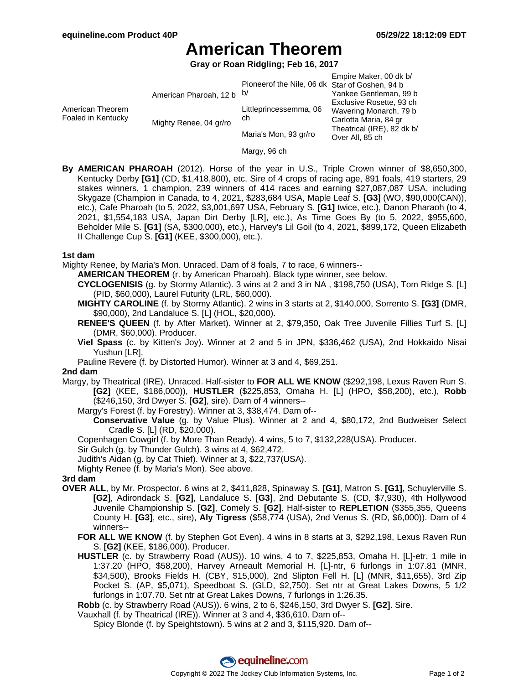## **American Theorem**

**Gray or Roan Ridgling; Feb 16, 2017**

|                                        |                           |                                                | Empire Maker, 00 dk b/     |
|----------------------------------------|---------------------------|------------------------------------------------|----------------------------|
|                                        |                           | Pioneerof the Nile, 06 dk Star of Goshen, 94 b |                            |
| American Theorem<br>Foaled in Kentucky | American Pharoah, 12 b b/ |                                                | Yankee Gentleman. 99 b     |
|                                        |                           | Littleprincessemma, 06<br>ch                   | Exclusive Rosette, 93 ch   |
|                                        | Mighty Renee, 04 gr/ro    |                                                | Wavering Monarch, 79 b     |
|                                        |                           |                                                | Carlotta Maria, 84 gr      |
|                                        |                           | Maria's Mon, 93 gr/ro                          | Theatrical (IRE), 82 dk b/ |
|                                        |                           |                                                | Over All. 85 ch            |

Margy, 96 ch

**By AMERICAN PHAROAH** (2012). Horse of the year in U.S., Triple Crown winner of \$8,650,300, Kentucky Derby **[G1]** (CD, \$1,418,800), etc. Sire of 4 crops of racing age, 891 foals, 419 starters, 29 stakes winners, 1 champion, 239 winners of 414 races and earning \$27,087,087 USA, including Skygaze (Champion in Canada, to 4, 2021, \$283,684 USA, Maple Leaf S. **[G3]** (WO, \$90,000(CAN)), etc.), Cafe Pharoah (to 5, 2022, \$3,001,697 USA, February S. **[G1]** twice, etc.), Danon Pharaoh (to 4, 2021, \$1,554,183 USA, Japan Dirt Derby [LR], etc.), As Time Goes By (to 5, 2022, \$955,600, Beholder Mile S. **[G1]** (SA, \$300,000), etc.), Harvey's Lil Goil (to 4, 2021, \$899,172, Queen Elizabeth II Challenge Cup S. **[G1]** (KEE, \$300,000), etc.).

#### **1st dam**

Mighty Renee, by Maria's Mon. Unraced. Dam of 8 foals, 7 to race, 6 winners--

**AMERICAN THEOREM** (r. by American Pharoah). Black type winner, see below.

- **CYCLOGENISIS** (g. by Stormy Atlantic). 3 wins at 2 and 3 in NA , \$198,750 (USA), Tom Ridge S. [L] (PID, \$60,000), Laurel Futurity (LRL, \$60,000).
- **MIGHTY CAROLINE** (f. by Stormy Atlantic). 2 wins in 3 starts at 2, \$140,000, Sorrento S. **[G3]** (DMR, \$90,000), 2nd Landaluce S. [L] (HOL, \$20,000).
- **RENEE'S QUEEN** (f. by After Market). Winner at 2, \$79,350, Oak Tree Juvenile Fillies Turf S. [L] (DMR, \$60,000). Producer.
- **Viel Spass** (c. by Kitten's Joy). Winner at 2 and 5 in JPN, \$336,462 (USA), 2nd Hokkaido Nisai Yushun [LR].
- Pauline Revere (f. by Distorted Humor). Winner at 3 and 4, \$69,251.

### **2nd dam**

- Margy, by Theatrical (IRE). Unraced. Half-sister to **FOR ALL WE KNOW** (\$292,198, Lexus Raven Run S. **[G2]** (KEE, \$186,000)), **HUSTLER** (\$225,853, Omaha H. [L] (HPO, \$58,200), etc.), **Robb** (\$246,150, 3rd Dwyer S. **[G2]**, sire). Dam of 4 winners--
	- Margy's Forest (f. by Forestry). Winner at 3, \$38,474. Dam of--
		- **Conservative Value** (g. by Value Plus). Winner at 2 and 4, \$80,172, 2nd Budweiser Select Cradle S. [L] (RD, \$20,000).
	- Copenhagen Cowgirl (f. by More Than Ready). 4 wins, 5 to 7, \$132,228(USA). Producer.

Sir Gulch (g. by Thunder Gulch). 3 wins at 4, \$62,472.

Judith's Aidan (g. by Cat Thief). Winner at 3, \$22,737(USA).

Mighty Renee (f. by Maria's Mon). See above.

**3rd dam**

- **OVER ALL**, by Mr. Prospector. 6 wins at 2, \$411,828, Spinaway S. **[G1]**, Matron S. **[G1]**, Schuylerville S. **[G2]**, Adirondack S. **[G2]**, Landaluce S. **[G3]**, 2nd Debutante S. (CD, \$7,930), 4th Hollywood Juvenile Championship S. **[G2]**, Comely S. **[G2]**. Half-sister to **REPLETION** (\$355,355, Queens County H. **[G3]**, etc., sire), **Aly Tigress** (\$58,774 (USA), 2nd Venus S. (RD, \$6,000)). Dam of 4 winners--
	- **FOR ALL WE KNOW** (f. by Stephen Got Even). 4 wins in 8 starts at 3, \$292,198, Lexus Raven Run S. **[G2]** (KEE, \$186,000). Producer.
	- **HUSTLER** (c. by Strawberry Road (AUS)). 10 wins, 4 to 7, \$225,853, Omaha H. [L]-etr, 1 mile in 1:37.20 (HPO, \$58,200), Harvey Arneault Memorial H. [L]-ntr, 6 furlongs in 1:07.81 (MNR, \$34,500), Brooks Fields H. (CBY, \$15,000), 2nd Slipton Fell H. [L] (MNR, \$11,655), 3rd Zip Pocket S. (AP, \$5,071), Speedboat S. (GLD, \$2,750). Set ntr at Great Lakes Downs, 5 1/2 furlongs in 1:07.70. Set ntr at Great Lakes Downs, 7 furlongs in 1:26.35.

**Robb** (c. by Strawberry Road (AUS)). 6 wins, 2 to 6, \$246,150, 3rd Dwyer S. **[G2]**. Sire.

Vauxhall (f. by Theatrical (IRE)). Winner at 3 and 4, \$36,610. Dam of--

Spicy Blonde (f. by Speightstown). 5 wins at 2 and 3, \$115,920. Dam of--